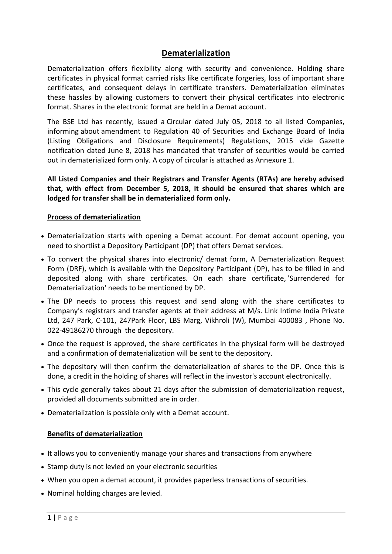# **Dematerialization**

Dematerialization offers flexibility along with security and convenience. Holding share certificates in physical format carried risks like certificate forgeries, loss of important share certificates, and consequent delays in certificate transfers. Dematerialization eliminates these hassles by allowing customers to convert their physical certificates into electronic format. Shares in the electronic format are held in a Demat account.

The BSE Ltd has recently, issued a Circular dated July 05, 2018 to all listed Companies, informing about amendment to Regulation 40 of Securities and Exchange Board of India (Listing Obligations and Disclosure Requirements) Regulations, 2015 vide Gazette notification dated June 8, 2018 has mandated that transfer of securities would be carried out in dematerialized form only. A copy of circular is attached as Annexure 1.

**All Listed Companies and their Registrars and Transfer Agents (RTAs) are hereby advised that, with effect from December 5, 2018, it should be ensured that shares which are lodged for transfer shall be in dematerialized form only.**

### **Process of dematerialization**

- Dematerialization starts with opening a Demat account. For demat account opening, you need to shortlist a Depository Participant (DP) that offers Demat services.
- To convert the physical shares into electronic/ demat form, A Dematerialization Request Form (DRF), which is available with the Depository Participant (DP), has to be filled in and deposited along with share certificates. On each share certificate, 'Surrendered for Dematerialization' needs to be mentioned by DP.
- The DP needs to process this request and send along with the share certificates to Company's registrars and transfer agents at their address at M/s. Link Intime India Private Ltd, 247 Park, C-101, 247Park Floor, LBS Marg, Vikhroli (W), Mumbai 400083 , Phone No. 022-49186270 through the depository.
- Once the request is approved, the share certificates in the physical form will be destroyed and a confirmation of dematerialization will be sent to the depository.
- The depository will then confirm the dematerialization of shares to the DP. Once this is done, a credit in the holding of shares will reflect in the investor's account electronically.
- This cycle generally takes about 21 days after the submission of dematerialization request, provided all documents submitted are in order.
- Dematerialization is possible only with a Demat account.

#### **Benefits of dematerialization**

- It allows you to conveniently manage your shares and transactions from anywhere
- Stamp duty is not levied on your electronic securities
- When you [open a demat account,](http://www.angelbroking.com/demat-account/how-to-open-demat-account) it provides paperless transactions of securities.
- Nominal holding charges are levied.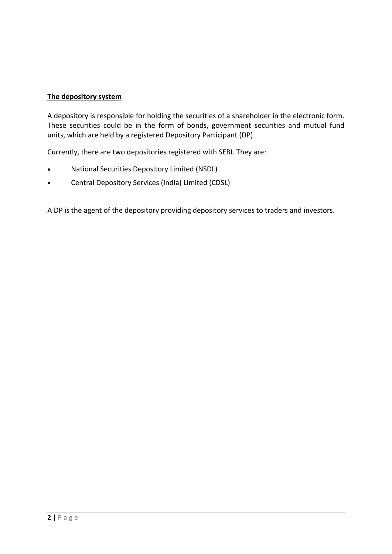# **The depository system**

A depository is responsible for holding the securities of a shareholder in the electronic form. These securities could be in the form of bonds, government securities and mutual fund units, which are held by a registered Depository Participant (DP)

Currently, there are two depositories registered with SEBI. They are:

- National Securities Depository Limited (NSDL)
- Central Depository Services (India) Limited (CDSL)

A DP is the agent of the depository providing depository services to traders and investors.